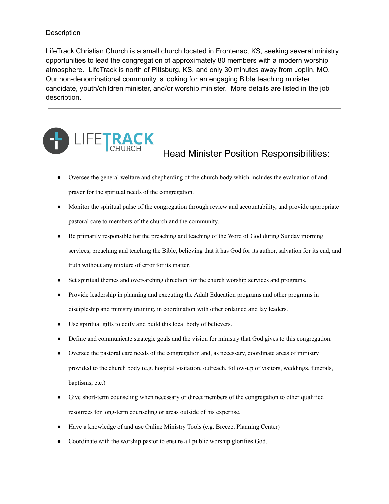## **Description**

LifeTrack Christian Church is a small church located in Frontenac, KS, seeking several ministry opportunities to lead the congregation of approximately 80 members with a modern worship atmosphere. LifeTrack is north of Pittsburg, KS, and only 30 minutes away from Joplin, MO. Our non-denominational community is looking for an engaging Bible teaching minister candidate, youth/children minister, and/or worship minister. More details are listed in the job description.



## Head Minister Position Responsibilities:

- Oversee the general welfare and shepherding of the church body which includes the evaluation of and prayer for the spiritual needs of the congregation.
- Monitor the spiritual pulse of the congregation through review and accountability, and provide appropriate pastoral care to members of the church and the community.
- Be primarily responsible for the preaching and teaching of the Word of God during Sunday morning services, preaching and teaching the Bible, believing that it has God for its author, salvation for its end, and truth without any mixture of error for its matter.
- Set spiritual themes and over-arching direction for the church worship services and programs.
- Provide leadership in planning and executing the Adult Education programs and other programs in discipleship and ministry training, in coordination with other ordained and lay leaders.
- Use spiritual gifts to edify and build this local body of believers.
- Define and communicate strategic goals and the vision for ministry that God gives to this congregation.
- Oversee the pastoral care needs of the congregation and, as necessary, coordinate areas of ministry provided to the church body (e.g. hospital visitation, outreach, follow-up of visitors, weddings, funerals, baptisms, etc.)
- Give short-term counseling when necessary or direct members of the congregation to other qualified resources for long-term counseling or areas outside of his expertise.
- Have a knowledge of and use Online Ministry Tools (e.g. Breeze, Planning Center)
- Coordinate with the worship pastor to ensure all public worship glorifies God.